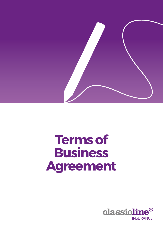

# **Terms of Business Agreement**

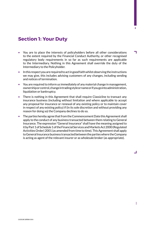## **Section 1: Your Duty**

- You are to place the interests of policyholders before all other considerations to the extent required by the Financial Conduct Authority, or other recognised regulatory body requirements in so far as such requirements are applicable to the Intermediary. Nothing in this Agreement shall override the duty of the Intermediary to the Policyholder.
- In this respect you are required to act in good faith whilst observing the instructions we may give, this includes advising customers of any changes, including sending and notices of termination.
- You are required to inform us immediately of any material change in management, ownership or control, change in trading style or name or if you go into administration, liquidation or bankruptcy.
- There is nothing in this Agreement that shall require Classicline to transact any insurance business (including without limitation and where applicable to accept any proposal for insurance or renewal of any existing policy or to maintain cover in respect of any existing policy) if (in its sole discretion and without providing any reason for doing so) the Company declines to do so.
- The parties hereby agree that from the Commencement Date this Agreement shall apply to the conduct of any business transacted between them relating to General Insurance. The expression "General Insurance" shall have the meaning assigned to it by Part 1 of Schedule 1 of the Financial Services and Markets Act 2000 (Regulated Activities Order) 2001 (as amended from time to time). This Agreement shall apply to General Insurance business transacted between the parties where the Company is acting as agent of the relevant insurer or as wholesale broker (as appropriate).

 $\Box$ 

**2**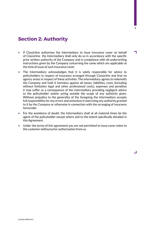## **Section 2: Authority**

• If Classicline authorises the Intermediary to issue insurance cover on behalf of Classicline the Intermediary shall only do so in accordance with the specific prior written authority of the Company and in compliance with all underwriting instructions given by the Company concerning the same which are applicable at the time of issue of such insurance cover.

**3**

┑

 $\Box$ 

- The Intermediary acknowledges that it is solely responsible for advice to policyholders in respect of insurance arranged through Classicline and that no agency arises in respect of these activities. The Intermediary agrees to indemnify the Company and hold it harmless against all losses, liabilities, costs (including without limitation legal and other professional costs), expenses and penalties it may suffer as a consequence of the Intermediary providing negligent advice to the policyholder and/or acting outside the scope of any authority given. Without prejudice to the generality of the foregoing the Intermediary accepts full responsibility for any errors and omissions in exercising any authority granted to it by the Company or otherwise in connection with the arranging of insurance hereunder.
- For the avoidance of doubt: the Intermediary shall at all material times be the agent of the policyholder except where and to the extent specifically detailed in this Agreement.
- Under the terms of this agreement you are not permitted to issue cover notes to the customer without prior authorisation from us.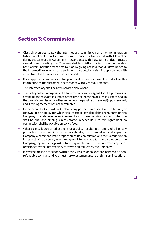## **Section 3: Commission**

- Classicline agrees to pay the Intermediary commission or other remuneration (where applicable) on General Insurance business transacted with Classicline during the term of this Agreement in accordance with these terms and at the rates agreed by us in writing. The Company shall be entitled to alter the amount and/or basis of remuneration from time to time by giving not less than 30 days' notice to the Intermediary in which case such new rates and/or basis will apply on and with effect from the expiry of such notice period.
- If you apply your own service charge or fee it is your responsibility to disclose this information to the customer in accordance with FCA requirements.
- The Intermediary shall be remunerated only where:
- The policyholder recognises the Intermediary as his agent for the purposes of arranging the relevant insurance at the time of inception of such insurance and (in the case of commission or other remuneration payable on renewal) upon renewal; and if this Agreement has not terminated.
- In the event that a third party claims any payment in respect of the broking or renewal of any policy for which the Intermediary also claims remuneration the Company shall determine entitlement to such remuneration and such decision shall be final and binding. Unless stated in schedule 1 to this Agreement no commission shall be payable on policy fees.
- Where cancellation or adjustment of a policy results in a refund of all or any proportion of the premium to the policyholder, the Intermediary shall repay the Company a commensurate proportion of its commission or other remuneration in respect of such policy (such repayment to be made (at the discretion of the Company) by set off against future payments due to the Intermediary or by remittance by the Intermediary forthwith on request by the Company).
- If cover relates to a car underwritten as a Classic Car policies are in the main a nonrefundable contract and you must make customers aware of this from inception.

┚

**4**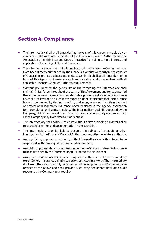## **Section 4: Compliance**

- The Intermediary shall at all times during the term of this Agreement abide by, as a minimum, the rules and principles of the Financial Conduct Authority and the Association of British Insurers' Code of Practice from time to time in force and applicable to the selling of General Insurance.
- The Intermediary confirms that it is and has at all times since the Commencement Date been directly authorised by the Financial Conduct Authority in the conduct of General Insurance business and undertakes that it shall at all times during the term of this Agreement maintain such authorisation and be compliant with all applicable Financial Conduct Authority requirements.
- Without prejudice to the generality of the foregoing the Intermediary shall maintain in full force throughout the term of this Agreement and for such period thereafter as may be necessary or desirable professional indemnity insurance cover at such level and on such terms as are prudent in the context of the insurance business conducted by the Intermediary and in any event not less than the level of professional indemnity insurance cover declared in the agency application form completed by the Intermediary. The Intermediary shall (if requested by the Company) deliver such evidence of such professional indemnity insurance cover as the Company may from time to time request.
- The Intermediary shall notify Classicline without delay, providing full details of all relevant information and documentation in the event that:
- The Intermediary is or is likely to become the subject of an audit or other investigation by the Financial Conduct Authority or any other regulatory authority;
- Any regulatory approval or authority of the Intermediary is or is threatened to be suspended, withdrawn, qualified, impaired or modified;
- Any claim or potential claim is notified under the professional indemnity insurance to be maintained by the Intermediary pursuant to this clause 6; or
- Any other circumstances arise which may result in the ability of the Intermediary to sell General Insurance being impaired or restricted in any way. The Intermediary shall keep the Company fully informed of all developments and/or decisions in respect of the above and shall provide such copy documents (including audit reports) as the Company may require.

**5**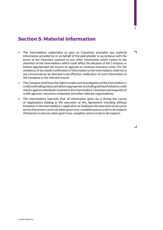## **Section 5: Material Information**

• The Intermediary undertakes to pass to Classicline promptly any material information provided by or on behalf of the policyholder in accordance with the terms of the insurance contract or any other information which comes to the attention of the Intermediary which could affect the decision of the Company or (where appropriate) the insurer to approve or continue insurance cover. For the avoidance of any doubt notification of information to the Intermediary shall not in any circumstances be deemed to be effective notification of such information to the Company or the relevant insurer.

**6**

┑

┚

- The Company shall have the right to make such investigation of the Intermediary's credit and trading status as it deems appropriate, (including without limitation credit checks against individuals involved in the Intermediary's business and enquiries of credit agencies, insurance companies and other relevant organisations).
- The Intermediary warrants that all information given by it during the course of negotiations leading to the execution of this Agreement including without limitation in the Intermediary's application or leading to the execution of any prior terms of business is and was when given true, complete and accurate in all respects of business is and was when given true, complete and accurate in all respects.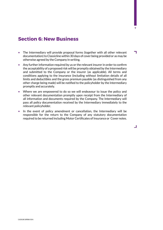#### **Section 6: New Business**

• The Intermediary will provide proposal forms (together with all other relevant documentation) to Classicline within 30 days of cover being provided or as may be otherwise agreed by the Company in writing.

**7**

┑

ᆜ

- Any further information required by us or the relevant insurer in order to confirm the acceptability of a proposed risk will be promptly obtained by the Intermediary and submitted to the Company or the insurer (as applicable). All terms and conditions applying to the insurance (including without limitation details of all limits and deductibles and the gross premium payable (as distinguished from any other charge being made) will be notified to the policyholder by the Intermediary promptly and accurately.
- Where we are empowered to do so we will endeavour to issue the policy and other relevant documentation promptly upon receipt from the Intermediary of all information and documents required by the Company. The Intermediary will pass all policy documentation received by the Intermediary immediately to the relevant policyholder.
- In the event of policy amendment or cancellation, the Intermediary will be responsible for the return to the Company of any statutory documentation required to be returned including Motor Certificates of Insurance or Cover notes.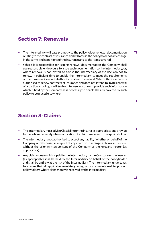#### **Section 7: Renewals**

- The Intermediary will pass promptly to the policyholder renewal documentation relating to the contract of insurance and will advise the policyholder of any change in the terms and conditions of the insurance and to the items covered.
- Where it is responsible for issuing renewal documentation the Company shall use reasonable endeavours to issue such documentation to the Intermediary, or, where renewal is not invited, to advise the Intermediary of the decision not to renew, in sufficient time to enable the Intermediary to meet the requirements of the Financial Conduct Authority relative to renewal. Where the Company is authorised to renew contracts of insurance and does not intend to invite renewal of a particular policy, it will (subject to insurer consent) provide such information which is held by the Company as is necessary to enable the risk covered by such policy to be placed elsewhere.

## **Section 8: Claims**

- The Intermediary must advise Classicline or the insurer as appropriate and provide full details immediately when notification of a claim is received from a policyholder.
- The Intermediary is not authorised to accept any liability (whether on behalf of the Company or otherwise) in respect of any claim or to arrange a claims settlement without the prior written consent of the Company or the relevant insurer (as appropriate).
- Any claim money which is paid to the Intermediary by the Company or the insurer (as appropriate) shall be held by the Intermediary on behalf of the policyholder and shall be entirely at the risk of the Intermediary. The Intermediary undertakes to ensure that all applicable regulatory safeguards are maintained to protect policyholders where claim money is received by the Intermediary.

**8**

┑

 $\Box$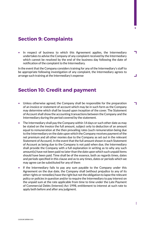#### **Section 9: Complaints**

• In respect of business to which this Agreement applies, the Intermediary undertakes to advise the Company of any complaint received by the Intermediary which cannot be resolved by the end of the business day following the date of notification of the complaint to the Intermediary.

In the event that the Company considers training for any of the Intermediary's staff to be appropriate following investigation of any complaint, the Intermediary agrees to arrange such training at the Intermediary's expense

#### **Section 10: Credit and payment**

- Unless otherwise agreed, the Company shall be responsible for the preparation of an invoice or statement of account which may be in such form as the Company may determine which shall be issued upon inception of the cover. The Statement of Account shall show the accounting transactions between the Company and the Intermediary during the period covered by the statement.
- The Intermediary shall pay the Company within 14 days or such other date as may be stated on the invoice the full amount, subject only to deduction of an amount equal to remuneration at the then prevailing rates (such remuneration being due to the Intermediary on the date upon which the Company receives payment of the net premium and all other monies due to the Company as set out in the relevant Statement of Account). In the event that the full amount shown in each Statement of Account as being due to the Company is not paid when due, the Intermediary shall provide the Company with a full explanation in writing as to why any such amount(s) have not been paid no later than the date upon which such unpaid items should have been paid. Time shall be of the essence, both as regards times, dates and periods specified in this clause and as to any times, dates or periods which we may agree can be substituted for any of them
- lf the Intermediary fails to pay any sum payable to the Company under this Agreement on the due date, the Company shall (without prejudice to any of its other rights or remedies) have the right but not the obligation to lapse the relevant policy or policies in question and/or to require the Intermediary to pay interest on the unpaid sum at the rate applicable from time to time under the Late Payment of Commercial Debts (Interest) Act 1998, entitlement to interest at such rate to apply both before and after any judgment.

**9**

٦

ᆜ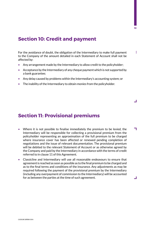### **Section 10: Credit and payment**

š For the avoidance of doubt, the obligation of the Intermediary to make full payment to the Company of the amount detailed in each Statement of Account shall not be affected by:

- Any arrangement made by the Intermediary to allow credit to the policyholder;
- Acceptance by the Intermediary of any cheque payment which is not supported by a bank guarantee;
- Any delay caused by problems within the Intermediary's accounting system; or
- The inability of the Intermediary to obtain monies from the policyholder.

#### **Section 11: Provisional premiums**

- Where it is not possible to finalise immediately the premium to be levied, the Intermediary will be responsible for collecting a provisional premium from the policyholder representing an approximation of the full premium to be charged where insurance cover has been affected or renewed pending completion of negotiations and the issue of relevant documentation. The provisional premium will be debited to the relevant Statement of Account or as otherwise agreed by the Company and paid by the Intermediary in accordance with the terms of credit referred to in clause 11 of this Agreement.
- Classicline and Intermediary will use all reasonable endeavours to ensure that agreement is reached as soon as possible as to the final premium to be charged and as to the final terms and conditions of the insurance. Any adjustments as may be required following the payment of the provisional premium by the Intermediary (including any overpayment of commission to the Intermediary) will be accounted for as between the parties at the time of such agreement.

 $\Box$ 

٦

 $\Box$ 

**10**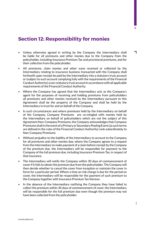### **Section 12: Responsibility for monies**

- Unless otherwise agreed in writing by the Company the Intermediary shall be liable for all premiums and other monies due to the Company from the policyholder, including Insurance Premium Tax and provisional premiums, and for their collection from the policyholder.
- AII premiums, claim monies and other sums received or collected by the Intermediary relating to insurance business transacted with the Company shall forthwith upon receipt be paid by the Intermediary into a statutory trust account or (subject to such account complying fully with the requirements of the Financial Conduct Authority) a non-statutory trust account in accordance with all applicable requirements of the Financial Conduct Authority.
- Where the Company has agreed that the Intermediary acts as the Company's agent for the purposes of receiving and holding premiums from policyholders all premiums and other monies received by the Intermediary pursuant to this Agreement shall be the property of the Company and shall be held by the Intermediary in trust for and on behalf of the Company.
- In such circumstances and where premiums held by the Intermediary on behalf of the Company, Company Premiums are co-mingled with monies held by the Intermediary on behalf of policyholders which are not the subject of this Agreement Non-Company Premiums, the Company acknowledges that Company Premiums shall in the event of a Primary or Secondary Pooling Event (as such terms are defined in the rules of the Financial Conduct Authority) rank subordinately to Non-Company Premiums
- Without prejudice to the liability of the Intermediary to account to the Company for all premiums and other monies due, where the Company agrees to a request from the Intermediary to make payment of a claim before receipt by the Company of the premium due, the Intermediary will be responsible for payment to the Company of the full premium due, including Insurance Premium Tax, in respect of that insurance.
- The Intermediary will notify the Company within 30 days of commencement of cover if it fails to obtain the premium due from the policyholder. The Company will then decide whether to cancel the cover from inception or maintain the cover in force for a particular period. Where a time on risk charge is due for the period on cover, the Intermediary will be responsible for the payment of such premium to the Company together with Insurance Premium Tax thereon.
- In the absence of the Intermediary notifying the Company they have failed to collect the premium within 30 days of commencement of cover, the Intermediary will be responsible for the full premium due even though the premium may not have been collected from the policyholder.

**11**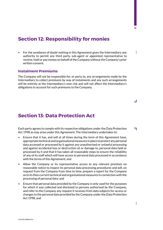#### **Section 12: Responsibility for monies**

• For the avoidance of doubt nothing in this Agreement gives the Intermediary any authority to permit any third party, sub-agent or appointed representative to receive, hold or pay money on behalf of the Company without the Company's prior written consent.

#### **Instalment Premiums**

The Company will not be responsible for, or party to, any arrangements made by the Intermediary to collect premiums by way of instalments and any such arrangements will be entirely at the Intermediary's own risk and will not affect the Intermediary's obligations to account for such premiums to the Company.

#### **Section 13: Data Protection Act**

Each party agrees to comply with its respective obligations under the Data Protection П Act 1998 as may arise under this Agreement. The Intermediary undertakes to:

- Ensure that it has, and will at all times during the term of this Agreement have, appropriate technical and organisational measures in place to protect any personal data accessed or processed by it against any unauthorised or unlawful processing and against accidental loss or destruction of, or damage to, personal data held or processed by it and that it has taken all reasonable steps to ensure the reliability of any of its staff which will have access to personal data processed in accordance with the terms of this Agreement; and
- Allow the Company or its representative access to any relevant premises on reasonable notice to inspect its personal data processing procedures and will, on request from the Company from time to time, prepare a report for the Company as to its then current technical and organisational measures in connection with the processing of personal data; and
- Ensure that personal data provided by the Company is only used for the purposes for which it was collected and disclosed to persons authorised by the Company; and refer to the Company any request it receives from data subjects for access or changes to the personal data provided by the Company under the Data Protection Act 1998; and

ŧ

**12**

š

┚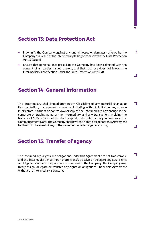#### **Section 13: Data Protection Act**

š • Indemnify the Company against any and all losses or damages suffered by the Company as a result of the Intermediary failing to comply with the Data Protection Act 1998; and

**13**

ᆜ

П

┚

٦

ᆜ

• Ensure that personal data passed to the Company has been collected with the consent of all parties named therein, and that such use does not breach the Intermediary's notification under the Data Protection Act 1998.

#### **Section 14: General Information**

The Intermediary shall immediately notify Classicline of any material change to its constitution, management or control, including without limitation, any change in directors, partners or control/ownership of the Intermediary, any change in the corporate or trading name of the Intermediary, and any transaction involving the transfer of 15% or more of the share capital of the Intermediary in issue as at the Commencement Date. The Company shall have the right to terminate this Agreement forthwith in the event of any of the aforementioned changes occurring.

#### **Section 15: Transfer of agency**

The Intermediary's rights and obligations under this Agreement are not transferable and the Intermediary must not novate, transfer, assign or delegate any such rights or obligations without the prior written consent of the Company. The Company may freely assign, delegate or transfer any rights or obligations under this Agreement without the Intermediary's consent.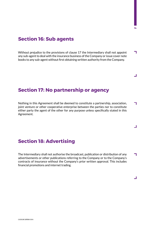#### **Section 16: Sub agents**

Without prejudice to the provisions of clause 17 the Intermediary shall not appoint h any sub-agent to deal with the insurance business of the Company or issue cover note books to any sub-agent without first obtaining written authority from the Company.

**14**

ᆜ

ᆜ

ᆜ

#### **Section 17: No partnership or agency**

Nothing in this Agreement shall be deemed to constitute a partnership, association, ┓ joint venture or other cooperative enterprise between the parties nor to constitute either party the agent of the other for any purpose unless specifically stated in this Agreement.

#### **Section 18: Advertising**

The Intermediary shall not authorise the broadcast, publication or distribution of any ┓ advertisements or other publications referring to the Company or to the Company's contracts of insurance without the Company's prior written approval. This includes financial promotions and internet trading.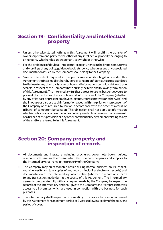## **Section 19: Confidentiality and intellectual property**

**15**

h

┛

٦

 $\overline{\phantom{0}}$ 

- Unless otherwise stated nothing in this Agreement will resultin the transfer of ownership from one party to the other of any intellectual property belonging to either party whether design, trademark, copyright or otherwise.
- For the avoidance of doubt all intellectual property rights in the brand name, terms and wordings of any policy, guidance booklets, policy schedules and any associated documentation issued by the Company shall belong to the Company.
- Save to the extent required in the performance of its obligations under this Agreement, the Intermediary hereby agrees to keep confidential, to protect and not to disclose to any third party any confidential information, technical data or trade secrets in respect of the Company (both during the term and following termination of this Agreement). The Intermediary further agrees to use its best endeavours to prevent the disclosure of any confidential information of the Company (whether by any of its past or present employees, agents, representatives or otherwise) and shall not use or disclose such information except with the prior written consent of the Company or as required by law or in accordance with the order of a court of tribunal of competent jurisdiction. This obligation shall not apply to information which is publicly available or becomes publicly available otherwise than as a result of a breach of this provision or any other confidentiality agreement relating to any of the matters referred to in this Agreement.

#### **Section 20: Company property and inspection of records**

- All documents and literature including brochures, cover note books, guides, computer software and hardware which the Company prepares and supplies to the Intermediary shall remain the property of the Company.
- The Company may on reasonable notice during normal business hours inspect, examine, verify and take copies of any records (including electronic records) and documentation of the Intermediary which relate (whether in whole or in part) to any transaction made during the course of this Agreement. The Intermediary agrees to co-operate fully with any request made by the Company to inspect the records of the Intermediary and shall give to the Company and its representatives access to all premises which are used in connection with the business for such purposes.
- The Intermediary shall keep all records relating to insurance transactions covered by this Agreement for a minimum period of 3 years following expiry of the relevant period of cover.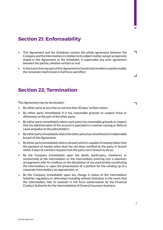### **Section 21: Enforceability**

- h • This Agreement and the Schedules contain the whole agreement between the Company and the Intermediary in relation to its subject matter, except as expressly stated in this Agreement or the Schedules. It supersedes any prior agreement between the parties, whether written or oral.
- In the event that any part of this Agreement is found to be invalid or unenforceable, the remainder shall remain in full force and effect.

#### **Section 22: Termination**

This Agreement may be terminated: -

- By either party at any time on not less than 30 days' written notice;
- By either party immediately if it has reasonable grounds to suspect fraud or dishonesty on the part of the other party;
- By either party immediately where such party has reasonable grounds to suspect that the administration of the account is operated in a manner causing or likely to cause prejudice to the policyholders;
- By either party immediately where the other party has committed an irredeemable breach of this Agreement;
- By either party immediately where a breach which is capable of remedy (other than the payment of monies when due) has not been rectified by the party in breach within 3 days of a written request from the party not in breach to do so;
- By the Company immediately upon the death, bankruptcy, insolvency or receivership of the Intermediary or the Intermediary entering into a voluntary arrangement with its creditors or the dissolution of any partnership constituting the Intermediary or upon the presentation of a petition for the winding up of a corporate Intermediary (as appropriate); or
- By the Company immediately upon any change in status of the Intermediary (whether regulatory or otherwise) including without limitation in the event that the Intermediary fails to maintain in full force authorisation by the Financial Conduct Authority for the intermediation of General Insurance business.

**16**

ᆜ

٦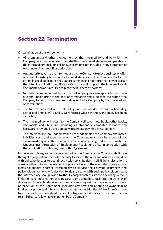#### **Section 22: Termination**

On termination of this Agreement: -

- All premiums and other monies held by the Intermediary and to which the Company is or may become entitled shall become immediately due and payable by the Intermediary (including all known premiums not included in any Statement of Account) without set off or deduction;
- Any authority given to the Intermediary by the Company to place business or offer renewal of existing business shall immediately cease. The Company shall at its option lapse all policies as they expire commencing not more than 6 weeks after the date of termination and if so the Company will supply to the Intermediary all documentation as is required to place the business elsewhere;
- No further commission will be paid by the Company save in respect of commission due and unpaid prior to the date of termination and subject to the right of the Company to set off any sums due and owing to the Company by the Intermediary on termination;
- The Intermediary will return all policy and renewal documentation (including Motor and Employer's Liability Certificates) where the relevant policy has been cancelled;
- The Intermediary will return to the Company all cover note books, other books, documents and literature (including all stationery, computer software and hardware) provided by the Company in connection with this Agreement;
- The Intermediary shall indemnify and keep indemnified the Company and losses, liabilities, costs and expenses which the Company may incur in respect of any claims made against the Company or otherwise arising under the Transfer of Undertakings (Protection of Employment) Regulations 1981 in connection with the termination of all or any part of this Agreement.

In the event this Agreement is terminated by the Company the Company shall have the right to appoint another intermediary to service the relevant insurances and deal with policyholders, or to deal directly with policyholders itself, if, in its discretion, it considers this to be in the interests of policyholders. In the event that the Company elects to appoint another intermediary to service the relevant insurances and policyholders, or where it decides to deal directly with such policyholders itself, the Intermediary shall provide (without charge) such assistance (including without limitation such information as is necessary or desirable to facilitate the transfer of dealings with policyholders) as the Company may request. For the avoidance of doubt no provision of this Agreement (including any provision relating to ownership of intellectual property rights or confidentiality) shall restrict the ability of the Company to so deal with such policyholders direct or to pass their details and other information to a third party following termination by the Company.

š

 $\overline{\phantom{0}}$ 

**17**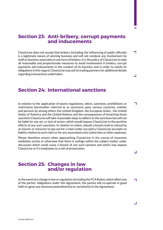## **Section 23: Anti-bribery, corrupt payments and inducements**

**18**

٦

 $\Box$ 

┑

 $\Box$ 

 $\Box$ 

ClassicLine does not accept that bribery (including the influencing of public officials) is a legitimate means of winning business and will not condone any involvement by staff or business associates in any form of bribery. It is the policy of ClassicLine to take all reasonable and proportionate measures to avoid involvement in bribery, corrupt payments and inducements in the conduct of its business and in order to satisfy its obligations in this regard, ClassicLine may ask its trading partners for additional details regarding transactions undertaken.

#### **Section 24: International sanctions**

In relation to the application of lawsm regulations, edicts, sanctions, prohibitions or restrictions (hereinafter referred to as sanctions) upon various countries, entities and persons by among others the United Kingdom, the European Union , the United States of America and the United Nations and the consequences of breaching those sanctions ClassicLine will take reasonable steps to adhere to the sanctions but will not be liable for any act, or lack of action, which would expose ClassicLine to the punitive effects of any such sanctions. In relation to claims, should a breach lead to refusal by an insurer or reinsurer to pay out for a claim under any policy ClassicLine acccepts no liabilty relative to such claim or for any associated costs claims fees or other expenses.

Please therefore ensure when approaching ClassicLine in the course of insurance mediation acivity or otherwise that there is nothign within the subject matter under discussion which could cause a breach of any such sactions and which may expose ClassicLine or it's employees to a risk of prosecution.

#### **Section 25: Changes in law and/or regulation**

In the event of a change in law or regulation (including the FCA Rules), which affect any П of the parties' obligations under this Agreement, the parties will co-operate in good faith to agree any necessaryamendment(s) or variation(s) to the Agreement.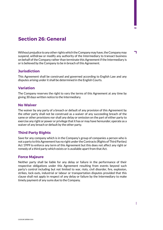### **Section 26: General**

Without prejudice to any other rights which the Company may have, the Company may suspend, withdraw or modify any authority of the Intermediary to transact business on behalf of the Company rather than terminate this Agreement if the Intermediary is or is believed by the Company to be in breach of this Agreement.

#### **Jurisdiction**

This Agreement shall be construed and governed according to English Law and any disputes arising under it shall be determined in the English Courts.

#### **Variation**

The Company reserves the right to vary the terms of this Agreement at any time by giving 30 days written notice to the Intermediary.

#### **No Waiver**

The waiver by any party of a breach or default of any provision of this Agreement by the other party shall not be construed as a waiver of any succeeding breach of the same or other provisions nor shall any delay or omission on the part of either party to exercise any right or power or privilege that it has or may have hereunder, operate as a waiver of any breach or default by the other party.

#### **Third Party Rights**

Save for any company which is in the Company's group of companies a person who is not a party to this Agreement has no right under the Contracts (Rights of Third Parties) Act 1999 to enforce any term of this Agreement but this does not affect any right or remedy of a third party which exists or is available apart from that Act.

#### **Force Majeure**

Neither party shall be liable for any delay or failure in the performance of their respective obligations under this Agreement resulting from events beyond such party's control including but not limited to war, riots, civil disorder, fire, explosion, strikes, lock-outs, industrial or labour or transportation disputes provided that this clause shall not apply in respect of any delay or failure by the Intermediary to make timely payment of any sums due to the Company.

**19**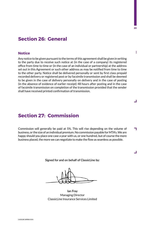#### **Section 26: General**

#### **Notice**

Any notice to be given pursuant to the terms of this agreement shall be given in writing to the party due to receive such notice at (in the case of a company) its registered office from time to time or (in the case of an individual or partnership) at the address set out in this Agreement or such other address as may be notified from time to time to the other party. Notice shall be delivered personally or sent by first class prepaid recorded delivery or registered post or by facsimile transmission and shall be deemed to be given in the case of delivery personally on delivery and in the case of posting (in the absence of evidence of earlier receipt) 48 hours after posting and in the case of facsimile transmission on completion of the transmission provided that the sender shall have received printed confirmation of transmission.

#### **Section 27: Commission**

Commission will generally be paid at 5%. This will rise depending on the volume of ٦ business, or the size of an individual premium. No commission payable for MTA's. We are happy should you place one case a year with us, or one hundred, but of course the more business placed, the more we can negotiate to make the flow as seamless as possible.

**Signed for and on behalf of ClassicLine by:**

**Ian Fray** Managing Director ClassicLine Insurance Services Limited

 $\Box$ 

 $\Box$ 

**20**